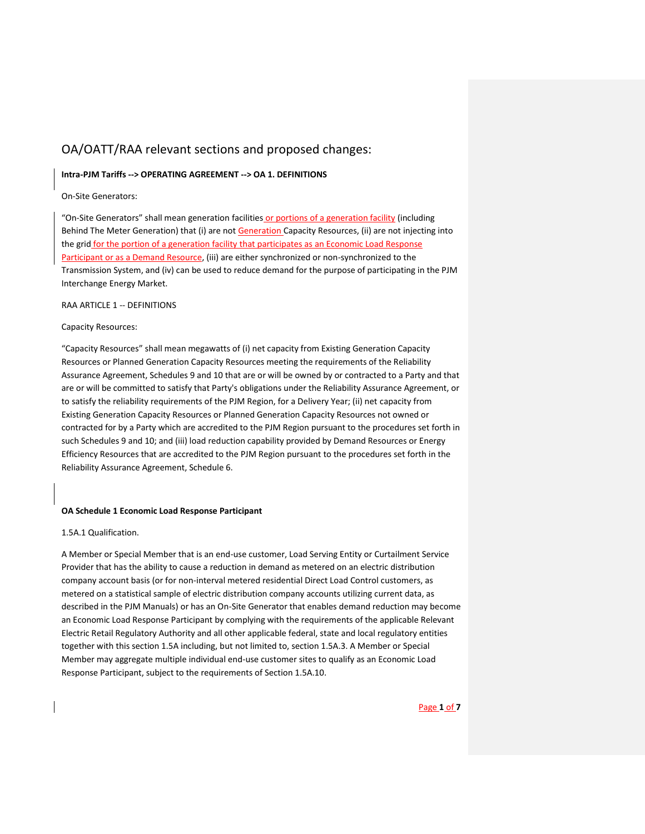# OA/OATT/RAA relevant sections and proposed changes:

# **Intra-PJM Tariffs --> OPERATING AGREEMENT --> OA 1. DEFINITIONS**

On-Site Generators:

"On-Site Generators" shall mean generation facilities or portions of a generation facility (including Behind The Meter Generation) that (i) are not Generation Capacity Resources, (ii) are not injecting into the grid for the portion of a generation facility that participates as an Economic Load Response Participant or as a Demand Resource, (iii) are either synchronized or non-synchronized to the Transmission System, and (iv) can be used to reduce demand for the purpose of participating in the PJM Interchange Energy Market.

RAA ARTICLE 1 -- DEFINITIONS

### Capacity Resources:

"Capacity Resources" shall mean megawatts of (i) net capacity from Existing Generation Capacity Resources or Planned Generation Capacity Resources meeting the requirements of the Reliability Assurance Agreement, Schedules 9 and 10 that are or will be owned by or contracted to a Party and that are or will be committed to satisfy that Party's obligations under the Reliability Assurance Agreement, or to satisfy the reliability requirements of the PJM Region, for a Delivery Year; (ii) net capacity from Existing Generation Capacity Resources or Planned Generation Capacity Resources not owned or contracted for by a Party which are accredited to the PJM Region pursuant to the procedures set forth in such Schedules 9 and 10; and (iii) load reduction capability provided by Demand Resources or Energy Efficiency Resources that are accredited to the PJM Region pursuant to the procedures set forth in the Reliability Assurance Agreement, Schedule 6.

# **OA Schedule 1 Economic Load Response Participant**

1.5A.1 Qualification.

A Member or Special Member that is an end-use customer, Load Serving Entity or Curtailment Service Provider that has the ability to cause a reduction in demand as metered on an electric distribution company account basis (or for non-interval metered residential Direct Load Control customers, as metered on a statistical sample of electric distribution company accounts utilizing current data, as described in the PJM Manuals) or has an On-Site Generator that enables demand reduction may become an Economic Load Response Participant by complying with the requirements of the applicable Relevant Electric Retail Regulatory Authority and all other applicable federal, state and local regulatory entities together with this section 1.5A including, but not limited to, section 1.5A.3. A Member or Special Member may aggregate multiple individual end-use customer sites to qualify as an Economic Load Response Participant, subject to the requirements of Section 1.5A.10.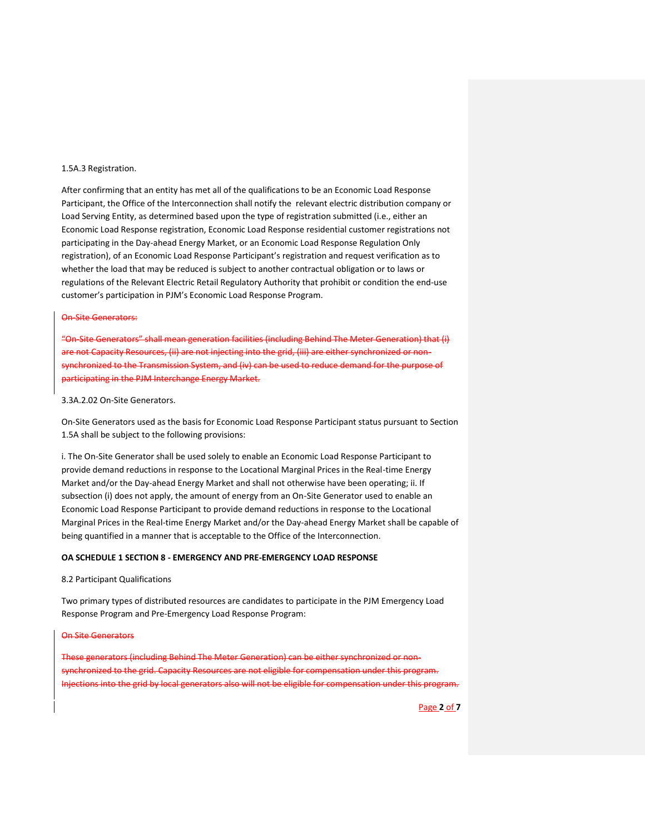#### 1.5A.3 Registration.

After confirming that an entity has met all of the qualifications to be an Economic Load Response Participant, the Office of the Interconnection shall notify the relevant electric distribution company or Load Serving Entity, as determined based upon the type of registration submitted (i.e., either an Economic Load Response registration, Economic Load Response residential customer registrations not participating in the Day-ahead Energy Market, or an Economic Load Response Regulation Only registration), of an Economic Load Response Participant's registration and request verification as to whether the load that may be reduced is subject to another contractual obligation or to laws or regulations of the Relevant Electric Retail Regulatory Authority that prohibit or condition the end-use customer's participation in PJM's Economic Load Response Program.

### On-Site Generators:

"On-Site Generators" shall mean generation facilities (including Behind The Meter Generation) that (i) are not Capacity Resources, (ii) are not injecting into the grid, (iii) are either synchronized or nonsynchronized to the Transmission System, and (iv) can be used to reduce demand for the purpose of participating in the PJM Interchange Energy Market.

# 3.3A.2.02 On-Site Generators.

On-Site Generators used as the basis for Economic Load Response Participant status pursuant to Section 1.5A shall be subject to the following provisions:

i. The On-Site Generator shall be used solely to enable an Economic Load Response Participant to provide demand reductions in response to the Locational Marginal Prices in the Real-time Energy Market and/or the Day-ahead Energy Market and shall not otherwise have been operating; ii. If subsection (i) does not apply, the amount of energy from an On-Site Generator used to enable an Economic Load Response Participant to provide demand reductions in response to the Locational Marginal Prices in the Real-time Energy Market and/or the Day-ahead Energy Market shall be capable of being quantified in a manner that is acceptable to the Office of the Interconnection.

# **OA SCHEDULE 1 SECTION 8 - EMERGENCY AND PRE-EMERGENCY LOAD RESPONSE**

# 8.2 Participant Qualifications

Two primary types of distributed resources are candidates to participate in the PJM Emergency Load Response Program and Pre-Emergency Load Response Program:

#### On Site Generators

These generators (including Behind The Meter Generation) can be either synchroniz synchronized to the grid. Capacity Resources are not eligible for compensation under this program. Injections into the grid by local generators also will not be eligible for compensation under this program.

Page **2** of **7**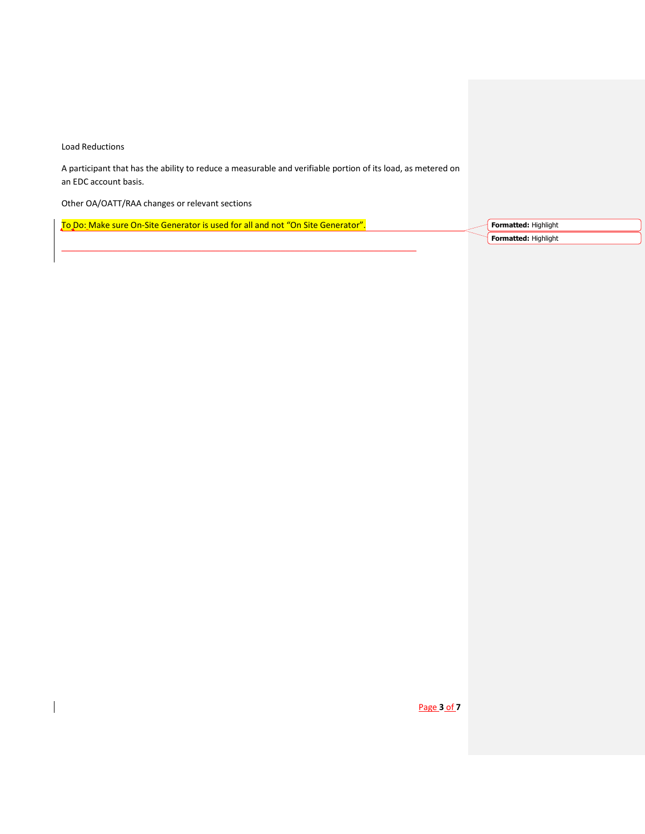Load Reductions

 $\overline{\phantom{a}}$ 

A participant that has the ability to reduce a measurable and verifiable portion of its load, as metered on an EDC account basis.

Other OA/OATT/RAA changes or relevant sections

To Do: Make sure On-Site Generator is used for all and not "On Site Generator".

\_\_\_\_\_\_\_\_\_\_\_\_\_\_\_\_\_\_\_\_\_\_\_\_\_\_\_\_\_\_\_\_\_\_\_\_\_\_\_\_\_\_\_\_\_\_\_\_\_\_\_\_\_\_\_\_\_\_\_\_\_\_\_\_\_\_\_\_\_\_\_\_\_\_\_\_

**Formatted:** Highlight **Formatted:** Highlight

Page **3** of **7**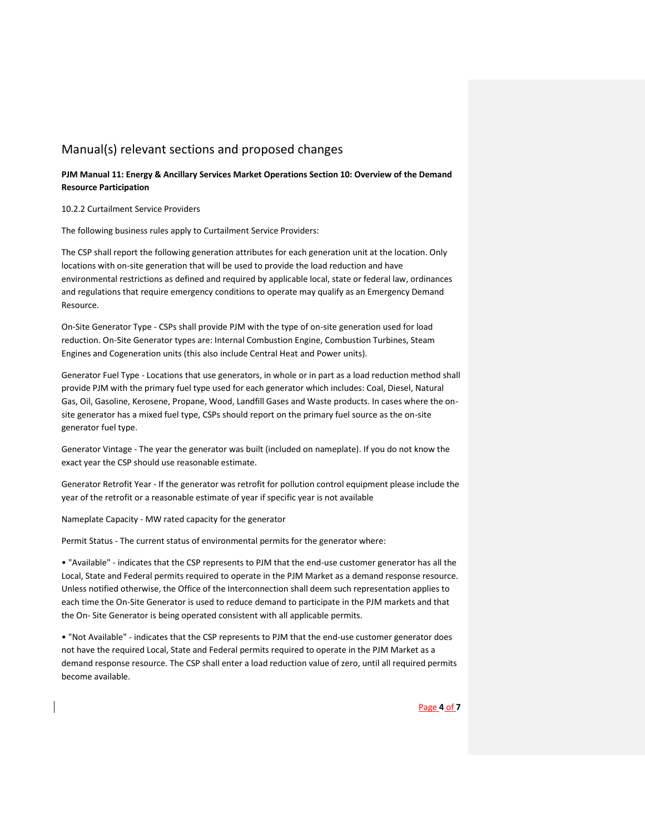# Manual(s) relevant sections and proposed changes

**PJM Manual 11: Energy & Ancillary Services Market Operations Section 10: Overview of the Demand Resource Participation**

10.2.2 Curtailment Service Providers

The following business rules apply to Curtailment Service Providers:

The CSP shall report the following generation attributes for each generation unit at the location. Only locations with on-site generation that will be used to provide the load reduction and have environmental restrictions as defined and required by applicable local, state or federal law, ordinances and regulations that require emergency conditions to operate may qualify as an Emergency Demand Resource.

On-Site Generator Type - CSPs shall provide PJM with the type of on-site generation used for load reduction. On-Site Generator types are: Internal Combustion Engine, Combustion Turbines, Steam Engines and Cogeneration units (this also include Central Heat and Power units).

Generator Fuel Type - Locations that use generators, in whole or in part as a load reduction method shall provide PJM with the primary fuel type used for each generator which includes: Coal, Diesel, Natural Gas, Oil, Gasoline, Kerosene, Propane, Wood, Landfill Gases and Waste products. In cases where the onsite generator has a mixed fuel type, CSPs should report on the primary fuel source as the on-site generator fuel type.

Generator Vintage - The year the generator was built (included on nameplate). If you do not know the exact year the CSP should use reasonable estimate.

Generator Retrofit Year - If the generator was retrofit for pollution control equipment please include the year of the retrofit or a reasonable estimate of year if specific year is not available

Nameplate Capacity - MW rated capacity for the generator

Permit Status - The current status of environmental permits for the generator where:

• "Available" - indicates that the CSP represents to PJM that the end-use customer generator has all the Local, State and Federal permits required to operate in the PJM Market as a demand response resource. Unless notified otherwise, the Office of the Interconnection shall deem such representation applies to each time the On-Site Generator is used to reduce demand to participate in the PJM markets and that the On- Site Generator is being operated consistent with all applicable permits.

• "Not Available" - indicates that the CSP represents to PJM that the end-use customer generator does not have the required Local, State and Federal permits required to operate in the PJM Market as a demand response resource. The CSP shall enter a load reduction value of zero, until all required permits become available.

### Page **4** of **7**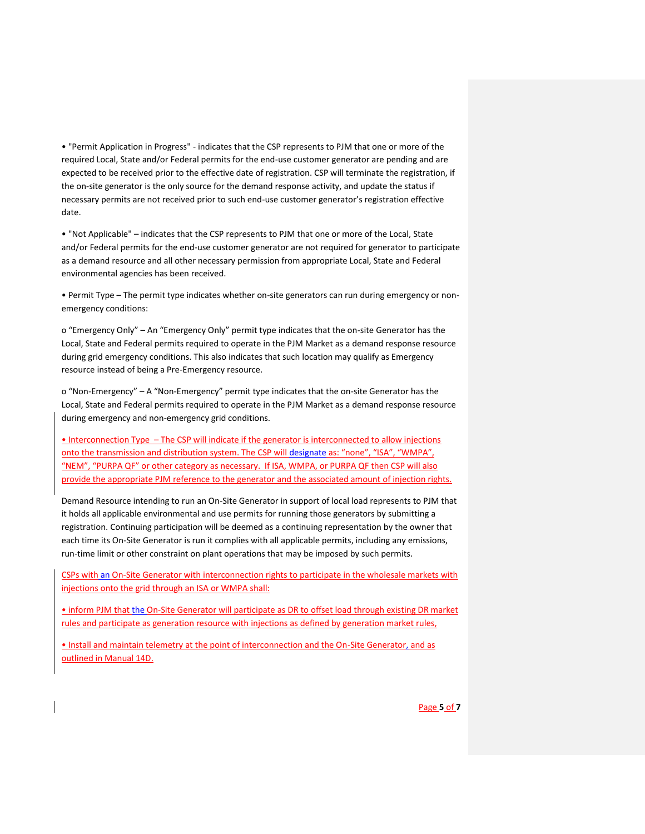• "Permit Application in Progress" - indicates that the CSP represents to PJM that one or more of the required Local, State and/or Federal permits for the end-use customer generator are pending and are expected to be received prior to the effective date of registration. CSP will terminate the registration, if the on-site generator is the only source for the demand response activity, and update the status if necessary permits are not received prior to such end-use customer generator's registration effective date.

• "Not Applicable" – indicates that the CSP represents to PJM that one or more of the Local, State and/or Federal permits for the end-use customer generator are not required for generator to participate as a demand resource and all other necessary permission from appropriate Local, State and Federal environmental agencies has been received.

• Permit Type – The permit type indicates whether on-site generators can run during emergency or nonemergency conditions:

o "Emergency Only" – An "Emergency Only" permit type indicates that the on-site Generator has the Local, State and Federal permits required to operate in the PJM Market as a demand response resource during grid emergency conditions. This also indicates that such location may qualify as Emergency resource instead of being a Pre-Emergency resource.

o "Non-Emergency" – A "Non-Emergency" permit type indicates that the on-site Generator has the Local, State and Federal permits required to operate in the PJM Market as a demand response resource during emergency and non-emergency grid conditions.

• Interconnection Type – The CSP will indicate if the generator is interconnected to allow injections onto the transmission and distribution system. The CSP will designate as: "none", "ISA", "WMPA", "NEM", "PURPA QF" or other category as necessary. If ISA, WMPA, or PURPA QF then CSP will also provide the appropriate PJM reference to the generator and the associated amount of injection rights.

Demand Resource intending to run an On-Site Generator in support of local load represents to PJM that it holds all applicable environmental and use permits for running those generators by submitting a registration. Continuing participation will be deemed as a continuing representation by the owner that each time its On-Site Generator is run it complies with all applicable permits, including any emissions, run-time limit or other constraint on plant operations that may be imposed by such permits.

CSPs with an On-Site Generator with interconnection rights to participate in the wholesale markets with injections onto the grid through an ISA or WMPA shall:

• inform PJM that the On-Site Generator will participate as DR to offset load through existing DR market rules and participate as generation resource with injections as defined by generation market rules,

• Install and maintain telemetry at the point of interconnection and the On-Site Generator, and as outlined in Manual 14D.

Page **5** of **7**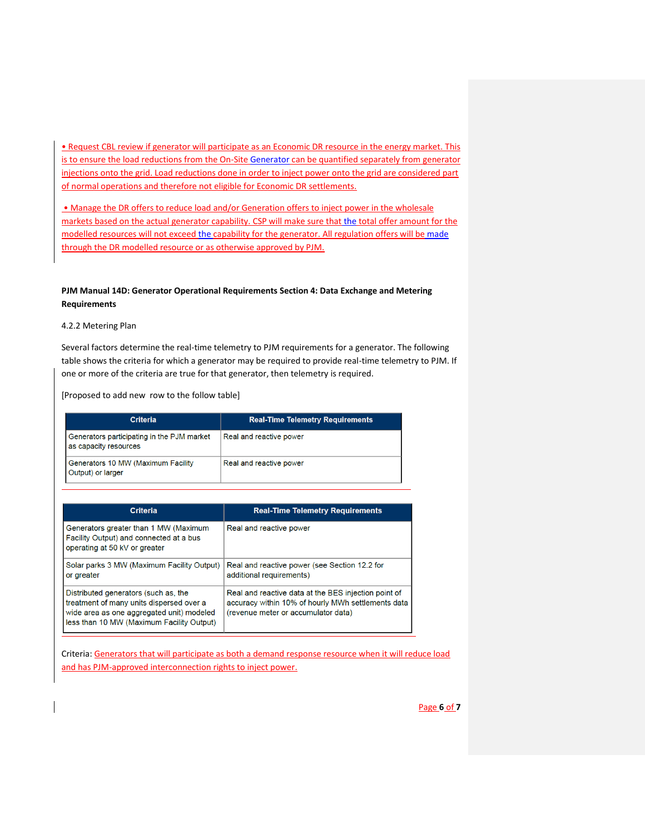• Request CBL review if generator will participate as an Economic DR resource in the energy market. This is to ensure the load reductions from the On-Site Generator can be quantified separately from generator injections onto the grid. Load reductions done in order to inject power onto the grid are considered part of normal operations and therefore not eligible for Economic DR settlements.

• Manage the DR offers to reduce load and/or Generation offers to inject power in the wholesale markets based on the actual generator capability. CSP will make sure that the total offer amount for the modelled resources will not exceed the capability for the generator. All regulation offers will be made through the DR modelled resource or as otherwise approved by PJM.

# **PJM Manual 14D: Generator Operational Requirements Section 4: Data Exchange and Metering Requirements**

4.2.2 Metering Plan

Several factors determine the real-time telemetry to PJM requirements for a generator. The following table shows the criteria for which a generator may be required to provide real-time telemetry to PJM. If one or more of the criteria are true for that generator, then telemetry is required.

[Proposed to add new row to the follow table]

| <b>Criteria</b>                                                     | <b>Real-Time Telemetry Requirements</b> |
|---------------------------------------------------------------------|-----------------------------------------|
| Generators participating in the PJM market<br>as capacity resources | Real and reactive power                 |
| Generators 10 MW (Maximum Facility<br>Output) or larger             | Real and reactive power                 |

| <b>Criteria</b>                                                                                                                                                            | <b>Real-Time Telemetry Requirements</b>                                                                                                           |
|----------------------------------------------------------------------------------------------------------------------------------------------------------------------------|---------------------------------------------------------------------------------------------------------------------------------------------------|
| Generators greater than 1 MW (Maximum<br>Facility Output) and connected at a bus<br>operating at 50 kV or greater                                                          | Real and reactive power                                                                                                                           |
| Solar parks 3 MW (Maximum Facility Output)<br>or greater                                                                                                                   | Real and reactive power (see Section 12.2 for<br>additional requirements)                                                                         |
| Distributed generators (such as, the<br>treatment of many units dispersed over a<br>wide area as one aggregated unit) modeled<br>less than 10 MW (Maximum Facility Output) | Real and reactive data at the BES injection point of<br>accuracy within 10% of hourly MWh settlements data<br>(revenue meter or accumulator data) |

Criteria: Generators that will participate as both a demand response resource when it will reduce load and has PJM-approved interconnection rights to inject power.